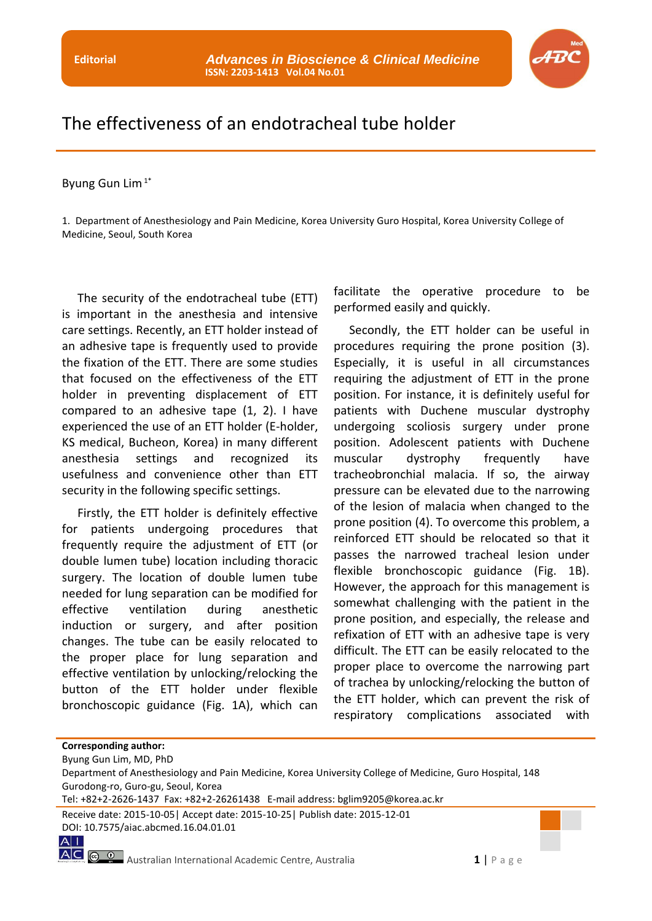

## The effectiveness of an endotracheal tube holder

Byung Gun Lim $1^*$ 

1. Department of Anesthesiology and Pain Medicine, Korea University Guro Hospital, Korea University College of Medicine, Seoul, South Korea

The security of the endotracheal tube (ETT) is important in the anesthesia and intensive care settings. Recently, an ETT holder instead of an adhesive tape is frequently used to provide the fixation of the ETT. There are some studies that focused on the effectiveness of the ETT holder in preventing displacement of ETT compared to an adhesive tape (1, 2). I have experienced the use of an ETT holder (E-holder, KS medical, Bucheon, Korea) in many different anesthesia settings and recognized its usefulness and convenience other than ETT security in the following specific settings.

Firstly, the ETT holder is definitely effective for patients undergoing procedures that frequently require the adjustment of ETT (or double lumen tube) location including thoracic surgery. The location of double lumen tube needed for lung separation can be modified for effective ventilation during anesthetic induction or surgery, and after position changes. The tube can be easily relocated to the proper place for lung separation and effective ventilation by unlocking/relocking the button of the ETT holder under flexible bronchoscopic guidance (Fig. 1A), which can

facilitate the operative procedure to be performed easily and quickly.

Secondly, the ETT holder can be useful in procedures requiring the prone position (3). Especially, it is useful in all circumstances requiring the adjustment of ETT in the prone position. For instance, it is definitely useful for patients with Duchene muscular dystrophy undergoing scoliosis surgery under prone position. Adolescent patients with Duchene muscular dystrophy frequently have tracheobronchial malacia. If so, the airway pressure can be elevated due to the narrowing of the lesion of malacia when changed to the prone position (4). To overcome this problem, a reinforced ETT should be relocated so that it passes the narrowed tracheal lesion under flexible bronchoscopic guidance (Fig. 1B). However, the approach for this management is somewhat challenging with the patient in the prone position, and especially, the release and refixation of ETT with an adhesive tape is very difficult. The ETT can be easily relocated to the proper place to overcome the narrowing part of trachea by unlocking/relocking the button of the ETT holder, which can prevent the risk of respiratory complications associated with

**Corresponding author:**

 $A$ |

Byung Gun Lim, MD, PhD

Department of Anesthesiology and Pain Medicine, Korea University College of Medicine, Guro Hospital, 148 Gurodong-ro, Guro-gu, Seoul, Korea

Tel: +82+2-2626-1437 Fax: +82+2-26261438 E-mail address: bglim9205@korea.ac.kr

Receive date: 2015-10-05| Accept date: 2015-10-25| Publish date: 2015-12-01 DOI: 10.7575/aiac.abcmed.16.04.01.01

**AC**  $\circledcirc$  **2** Australian International Academic Centre, Australia **1** | P a g e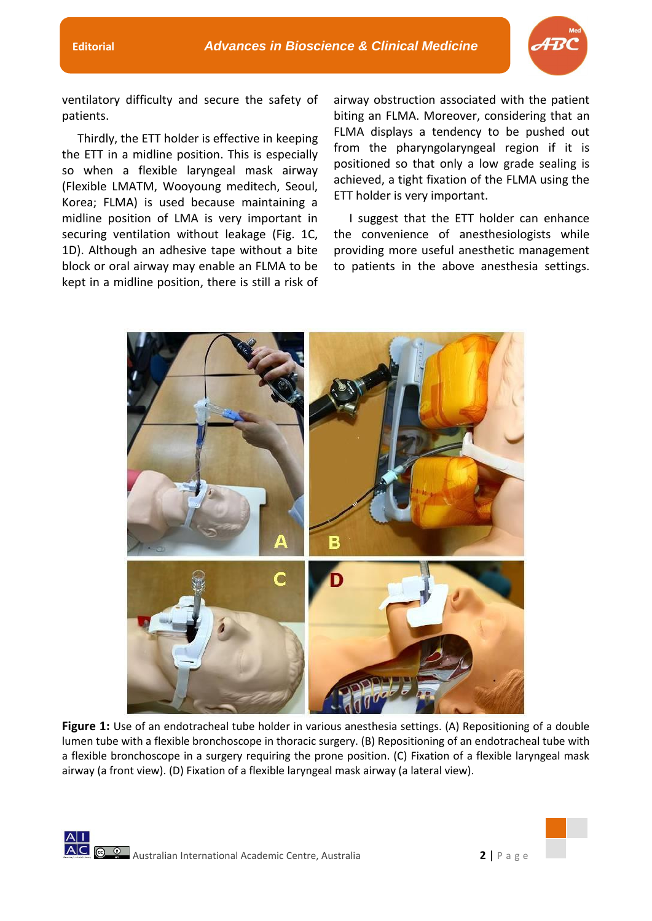

ventilatory difficulty and secure the safety of patients.

Thirdly, the ETT holder is effective in keeping the ETT in a midline position. This is especially so when a flexible laryngeal mask airway (Flexible LMATM, Wooyoung meditech, Seoul, Korea; FLMA) is used because maintaining a midline position of LMA is very important in securing ventilation without leakage (Fig. 1C, 1D). Although an adhesive tape without a bite block or oral airway may enable an FLMA to be kept in a midline position, there is still a risk of

airway obstruction associated with the patient biting an FLMA. Moreover, considering that an FLMA displays a tendency to be pushed out from the pharyngolaryngeal region if it is positioned so that only a low grade sealing is achieved, a tight fixation of the FLMA using the ETT holder is very important.

I suggest that the ETT holder can enhance the convenience of anesthesiologists while providing more useful anesthetic management to patients in the above anesthesia settings.



**Figure 1:** Use of an endotracheal tube holder in various anesthesia settings. (A) Repositioning of a double lumen tube with a flexible bronchoscope in thoracic surgery. (B) Repositioning of an endotracheal tube with a flexible bronchoscope in a surgery requiring the prone position. (C) Fixation of a flexible laryngeal mask airway (a front view). (D) Fixation of a flexible laryngeal mask airway (a lateral view).